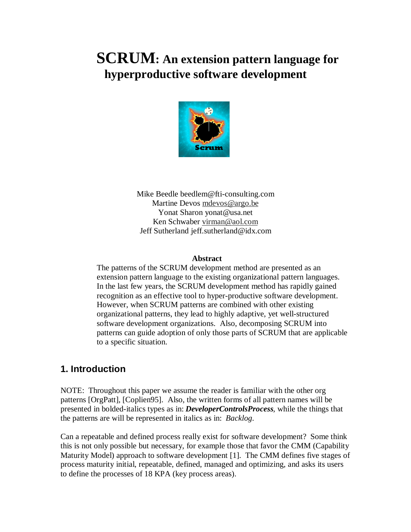# **SCRUM: An extension pattern language for hyperproductive software development**



Mike Beedle beedlem@fti-consulting.com Martine Devos mdevos@argo.be Yonat Sharon yonat@usa.net Ken Schwaber virman@aol.com Jeff Sutherland jeff.sutherland@idx.com

#### **Abstract**

The patterns of the SCRUM development method are presented as an extension pattern language to the existing organizational pattern languages. In the last few years, the SCRUM development method has rapidly gained recognition as an effective tool to hyper-productive software development. However, when SCRUM patterns are combined with other existing organizational patterns, they lead to highly adaptive, yet well-structured software development organizations. Also, decomposing SCRUM into patterns can guide adoption of only those parts of SCRUM that are applicable to a specific situation.

#### **1. Introduction**

NOTE: Throughout this paper we assume the reader is familiar with the other org patterns [OrgPatt], [Coplien95]. Also, the written forms of all pattern names will be presented in bolded-italics types as in: *DeveloperControlsProcess,* while the things that the patterns are will be represented in italics as in: *Backlog*.

Can a repeatable and defined process really exist for software development? Some think this is not only possible but necessary, for example those that favor the CMM (Capability Maturity Model) approach to software development [1]. The CMM defines five stages of process maturity initial, repeatable, defined, managed and optimizing, and asks its users to define the processes of 18 KPA (key process areas).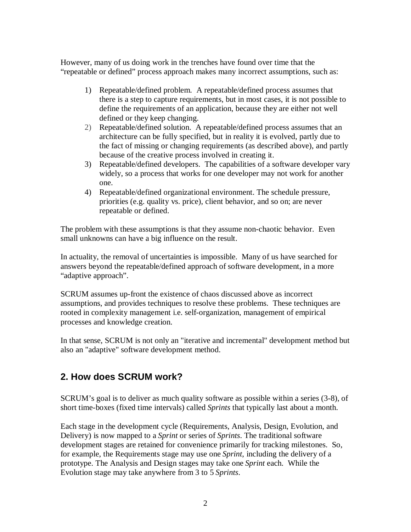However, many of us doing work in the trenches have found over time that the "repeatable or defined" process approach makes many incorrect assumptions, such as:

- 1) Repeatable/defined problem. A repeatable/defined process assumes that there is a step to capture requirements, but in most cases, it is not possible to define the requirements of an application, because they are either not well defined or they keep changing.
- 2) Repeatable/defined solution. A repeatable/defined process assumes that an architecture can be fully specified, but in reality it is evolved, partly due to the fact of missing or changing requirements (as described above), and partly because of the creative process involved in creating it.
- 3) Repeatable/defined developers. The capabilities of a software developer vary widely, so a process that works for one developer may not work for another one.
- 4) Repeatable/defined organizational environment. The schedule pressure, priorities (e.g. quality vs. price), client behavior, and so on; are never repeatable or defined.

The problem with these assumptions is that they assume non-chaotic behavior. Even small unknowns can have a big influence on the result.

In actuality, the removal of uncertainties is impossible. Many of us have searched for answers beyond the repeatable/defined approach of software development, in a more "adaptive approach".

SCRUM assumes up-front the existence of chaos discussed above as incorrect assumptions, and provides techniques to resolve these problems. These techniques are rooted in complexity management i.e. self-organization, management of empirical processes and knowledge creation.

In that sense, SCRUM is not only an "iterative and incremental" development method but also an "adaptive" software development method.

## **2. How does SCRUM work?**

SCRUM's goal is to deliver as much quality software as possible within a series (3-8), of short time-boxes (fixed time intervals) called *Sprints* that typically last about a month.

Each stage in the development cycle (Requirements, Analysis, Design, Evolution, and Delivery) is now mapped to a *Sprint* or series of *Sprints*. The traditional software development stages are retained for convenience primarily for tracking milestones. So, for example, the Requirements stage may use one *Sprint*, including the delivery of a prototype. The Analysis and Design stages may take one *Sprint* each. While the Evolution stage may take anywhere from 3 to 5 *Sprints*.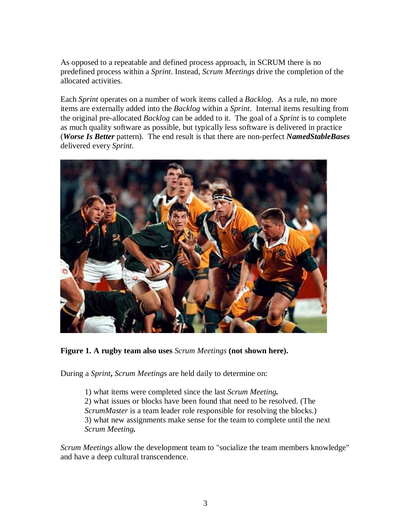As opposed to a repeatable and defined process approach, in SCRUM there is no predefined process within a *Sprint*. Instead, *Scrum Meetings* drive the completion of the allocated activities.

Each *Sprint* operates on a number of work items called a *Backlog*. As a rule, no more items are externally added into the *Backlog* within a *Sprint*. Internal items resulting from the original pre-allocated *Backlog* can be added to it. The goal of a *Sprint* is to complete as much quality software as possible, but typically less software is delivered in practice (*Worse Is Better* pattern). The end result is that there are non-perfect *NamedStableBases* delivered every *Sprint*.



**Figure 1. A rugby team also uses** *Scrum Meetings* **(not shown here).**

During a *Sprint***,** *Scrum Meetings* are held daily to determine on:

1) what items were completed since the last *Scrum Meeting.* 2) what issues or blocks have been found that need to be resolved. (The *ScrumMaster* is a team leader role responsible for resolving the blocks.) 3) what new assignments make sense for the team to complete until the next *Scrum Meeting.*

*Scrum Meetings* allow the development team to "socialize the team members knowledge" and have a deep cultural transcendence.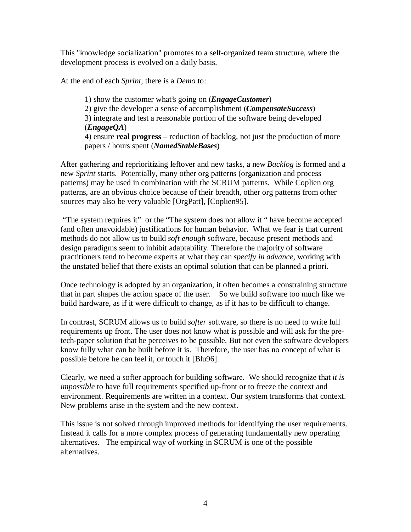This "knowledge socialization" promotes to a self-organized team structure, where the development process is evolved on a daily basis.

At the end of each *Sprint*, there is a *Demo* to:

1) show the customer what's going on (*EngageCustomer*) 2) give the developer a sense of accomplishment (*CompensateSuccess*) 3) integrate and test a reasonable portion of the software being developed (*EngageQA*) 4) ensure **real progress** – reduction of backlog, not just the production of more papers / hours spent (*NamedStableBases*)

After gathering and reprioritizing leftover and new tasks, a new *Backlog* is formed and a new *Sprint* starts. Potentially, many other org patterns (organization and process patterns) may be used in combination with the SCRUM patterns. While Coplien org patterns, are an obvious choice because of their breadth, other org patterns from other sources may also be very valuable [OrgPatt], [Coplien95].

 "The system requires it" or the "The system does not allow it " have become accepted (and often unavoidable) justifications for human behavior. What we fear is that current methods do not allow us to build *soft enough* software, because present methods and design paradigms seem to inhibit adaptability. Therefore the majority of software practitioners tend to become experts at what they can *specify in advance*, working with the unstated belief that there exists an optimal solution that can be planned a priori.

Once technology is adopted by an organization, it often becomes a constraining structure that in part shapes the action space of the user. So we build software too much like we build hardware, as if it were difficult to change, as if it has to be difficult to change.

In contrast, SCRUM allows us to build *softer* software, so there is no need to write full requirements up front. The user does not know what is possible and will ask for the pretech-paper solution that he perceives to be possible. But not even the software developers know fully what can be built before it is. Therefore, the user has no concept of what is possible before he can feel it, or touch it [Blu96].

Clearly, we need a softer approach for building software. We should recognize that *it is impossible* to have full requirements specified up-front or to freeze the context and environment. Requirements are written in a context. Our system transforms that context. New problems arise in the system and the new context.

This issue is not solved through improved methods for identifying the user requirements. Instead it calls for a more complex process of generating fundamentally new operating alternatives. The empirical way of working in SCRUM is one of the possible alternatives.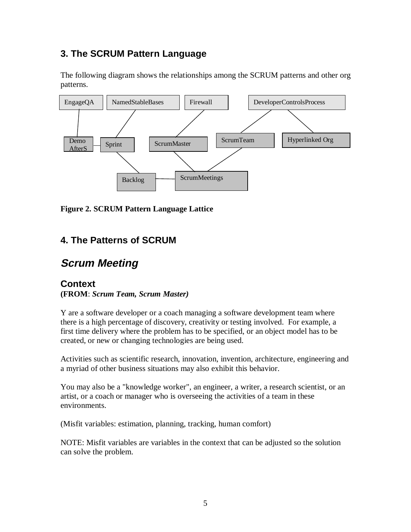## **3. The SCRUM Pattern Language**

The following diagram shows the relationships among the SCRUM patterns and other org patterns.



**Figure 2. SCRUM Pattern Language Lattice**

## **4. The Patterns of SCRUM**

# **Scrum Meeting**

#### **Context (FROM**: *Scrum Team, Scrum Master)*

Y are a software developer or a coach managing a software development team where there is a high percentage of discovery, creativity or testing involved. For example, a first time delivery where the problem has to be specified, or an object model has to be created, or new or changing technologies are being used.

Activities such as scientific research, innovation, invention, architecture, engineering and a myriad of other business situations may also exhibit this behavior.

You may also be a "knowledge worker", an engineer, a writer, a research scientist, or an artist, or a coach or manager who is overseeing the activities of a team in these environments.

(Misfit variables: estimation, planning, tracking, human comfort)

NOTE: Misfit variables are variables in the context that can be adjusted so the solution can solve the problem.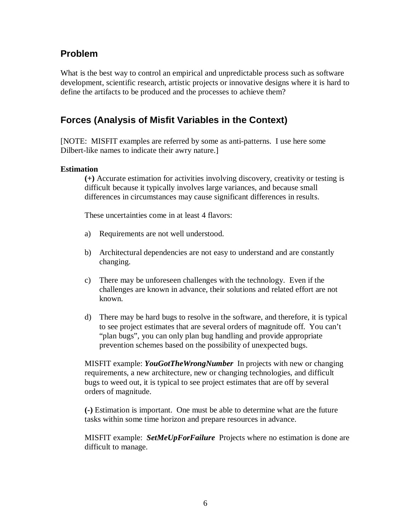#### **Problem**

What is the best way to control an empirical and unpredictable process such as software development, scientific research, artistic projects or innovative designs where it is hard to define the artifacts to be produced and the processes to achieve them?

#### **Forces (Analysis of Misfit Variables in the Context)**

[NOTE: MISFIT examples are referred by some as anti-patterns. I use here some Dilbert-like names to indicate their awry nature.]

#### **Estimation**

**(+)** Accurate estimation for activities involving discovery, creativity or testing is difficult because it typically involves large variances, and because small differences in circumstances may cause significant differences in results.

These uncertainties come in at least 4 flavors:

- a) Requirements are not well understood.
- b) Architectural dependencies are not easy to understand and are constantly changing.
- c) There may be unforeseen challenges with the technology. Even if the challenges are known in advance, their solutions and related effort are not known.
- d) There may be hard bugs to resolve in the software, and therefore, it is typical to see project estimates that are several orders of magnitude off. You can't "plan bugs", you can only plan bug handling and provide appropriate prevention schemes based on the possibility of unexpected bugs.

MISFIT example: *YouGotTheWrongNumber* In projects with new or changing requirements, a new architecture, new or changing technologies, and difficult bugs to weed out, it is typical to see project estimates that are off by several orders of magnitude.

**(-)** Estimation is important. One must be able to determine what are the future tasks within some time horizon and prepare resources in advance.

MISFIT example: *SetMeUpForFailure* Projects where no estimation is done are difficult to manage.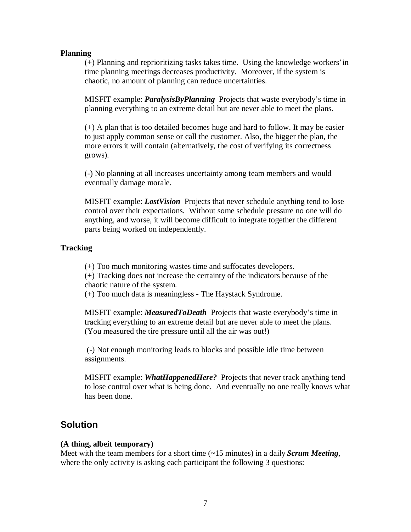#### **Planning**

(+) Planning and reprioritizing tasks takes time. Using the knowledge workers' in time planning meetings decreases productivity. Moreover, if the system is chaotic, no amount of planning can reduce uncertainties.

MISFIT example: *ParalysisByPlanning* Projects that waste everybody's time in planning everything to an extreme detail but are never able to meet the plans.

(+) A plan that is too detailed becomes huge and hard to follow. It may be easier to just apply common sense or call the customer. Also, the bigger the plan, the more errors it will contain (alternatively, the cost of verifying its correctness grows).

(-) No planning at all increases uncertainty among team members and would eventually damage morale.

MISFIT example: *LostVision* Projects that never schedule anything tend to lose control over their expectations. Without some schedule pressure no one will do anything, and worse, it will become difficult to integrate together the different parts being worked on independently.

#### **Tracking**

(+) Too much monitoring wastes time and suffocates developers.

(+) Tracking does not increase the certainty of the indicators because of the chaotic nature of the system.

(+) Too much data is meaningless - The Haystack Syndrome.

MISFIT example: *MeasuredToDeath* Projects that waste everybody's time in tracking everything to an extreme detail but are never able to meet the plans. (You measured the tire pressure until all the air was out!)

 (-) Not enough monitoring leads to blocks and possible idle time between assignments.

MISFIT example: *WhatHappenedHere?* Projects that never track anything tend to lose control over what is being done. And eventually no one really knows what has been done.

#### **Solution**

#### **(A thing, albeit temporary)**

Meet with the team members for a short time (~15 minutes) in a daily *Scrum Meeting*, where the only activity is asking each participant the following 3 questions: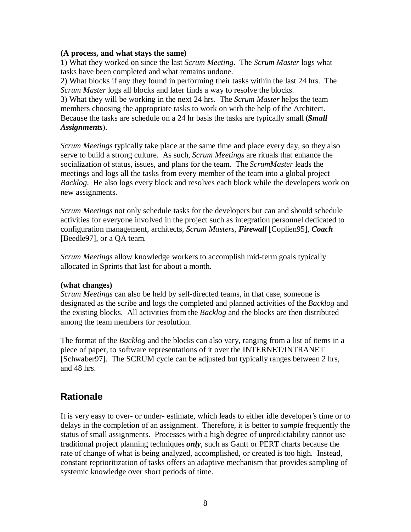#### **(A process, and what stays the same)**

1) What they worked on since the last *Scrum Meeting*. The *Scrum Master* logs what tasks have been completed and what remains undone.

2) What blocks if any they found in performing their tasks within the last 24 hrs. The *Scrum Master* logs all blocks and later finds a way to resolve the blocks.

3) What they will be working in the next 24 hrs. The *Scrum Master* helps the team members choosing the appropriate tasks to work on with the help of the Architect. Because the tasks are schedule on a 24 hr basis the tasks are typically small (*Small Assignments*).

*Scrum Meetings* typically take place at the same time and place every day, so they also serve to build a strong culture. As such, *Scrum Meetings* are rituals that enhance the socialization of status, issues, and plans for the team. The *ScrumMaster* leads the meetings and logs all the tasks from every member of the team into a global project *Backlog*. He also logs every block and resolves each block while the developers work on new assignments.

*Scrum Meetings* not only schedule tasks for the developers but can and should schedule activities for everyone involved in the project such as integration personnel dedicated to configuration management, architects, *Scrum Masters*, *Firewall* [Coplien95], *Coach* [Beedle97], or a QA team.

*Scrum Meetings* allow knowledge workers to accomplish mid-term goals typically allocated in Sprints that last for about a month.

#### **(what changes)**

*Scrum Meetings* can also be held by self-directed teams, in that case, someone is designated as the scribe and logs the completed and planned activities of the *Backlog* and the existing blocks. All activities from the *Backlog* and the blocks are then distributed among the team members for resolution.

The format of the *Backlog* and the blocks can also vary, ranging from a list of items in a piece of paper, to software representations of it over the INTERNET/INTRANET [Schwaber97]. The SCRUM cycle can be adjusted but typically ranges between 2 hrs, and 48 hrs.

## **Rationale**

It is very easy to over- or under- estimate, which leads to either idle developer's time or to delays in the completion of an assignment. Therefore, it is better to *sample* frequently the status of small assignments. Processes with a high degree of unpredictability cannot use traditional project planning techniques *only*, such as Gantt or PERT charts because the rate of change of what is being analyzed, accomplished, or created is too high. Instead, constant reprioritization of tasks offers an adaptive mechanism that provides sampling of systemic knowledge over short periods of time.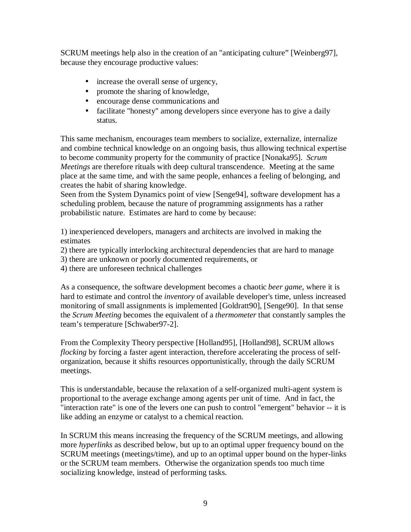SCRUM meetings help also in the creation of an "anticipating culture" [Weinberg97], because they encourage productive values:

- increase the overall sense of urgency,
- promote the sharing of knowledge,
- encourage dense communications and
- facilitate "honesty" among developers since everyone has to give a daily status.

This same mechanism, encourages team members to socialize, externalize, internalize and combine technical knowledge on an ongoing basis, thus allowing technical expertise to become community property for the community of practice [Nonaka95]. *Scrum Meetings* are therefore rituals with deep cultural transcendence. Meeting at the same place at the same time, and with the same people, enhances a feeling of belonging, and creates the habit of sharing knowledge.

Seen from the System Dynamics point of view [Senge94], software development has a scheduling problem, because the nature of programming assignments has a rather probabilistic nature. Estimates are hard to come by because:

1) inexperienced developers, managers and architects are involved in making the estimates

- 2) there are typically interlocking architectural dependencies that are hard to manage
- 3) there are unknown or poorly documented requirements, or
- 4) there are unforeseen technical challenges

As a consequence, the software development becomes a chaotic *beer game*, where it is hard to estimate and control the *inventory* of available developer's time, unless increased monitoring of small assignments is implemented [Goldratt90], [Senge90]. In that sense the *Scrum Meeting* becomes the equivalent of a *thermometer* that constantly samples the team's temperature [Schwaber97-2].

From the Complexity Theory perspective [Holland95], [Holland98], SCRUM allows *flocking* by forcing a faster agent interaction, therefore accelerating the process of selforganization, because it shifts resources opportunistically, through the daily SCRUM meetings.

This is understandable, because the relaxation of a self-organized multi-agent system is proportional to the average exchange among agents per unit of time. And in fact, the "interaction rate" is one of the levers one can push to control "emergent" behavior -- it is like adding an enzyme or catalyst to a chemical reaction.

In SCRUM this means increasing the frequency of the SCRUM meetings, and allowing more *hyperlinks* as described below, but up to an optimal upper frequency bound on the SCRUM meetings (meetings/time), and up to an optimal upper bound on the hyper-links or the SCRUM team members. Otherwise the organization spends too much time socializing knowledge, instead of performing tasks.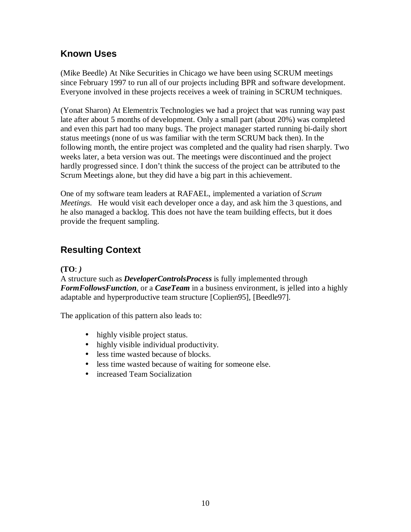#### **Known Uses**

(Mike Beedle) At Nike Securities in Chicago we have been using SCRUM meetings since February 1997 to run all of our projects including BPR and software development. Everyone involved in these projects receives a week of training in SCRUM techniques.

(Yonat Sharon) At Elementrix Technologies we had a project that was running way past late after about 5 months of development. Only a small part (about 20%) was completed and even this part had too many bugs. The project manager started running bi-daily short status meetings (none of us was familiar with the term SCRUM back then). In the following month, the entire project was completed and the quality had risen sharply. Two weeks later, a beta version was out. The meetings were discontinued and the project hardly progressed since. I don't think the success of the project can be attributed to the Scrum Meetings alone, but they did have a big part in this achievement.

One of my software team leaders at RAFAEL, implemented a variation of *Scrum Meetings*. He would visit each developer once a day, and ask him the 3 questions, and he also managed a backlog. This does not have the team building effects, but it does provide the frequent sampling.

# **Resulting Context**

#### **(TO**: *)*

A structure such as *DeveloperControlsProcess* is fully implemented through *FormFollowsFunction*, or a *CaseTeam* in a business environment, is jelled into a highly adaptable and hyperproductive team structure [Coplien95], [Beedle97].

The application of this pattern also leads to:

- highly visible project status.
- highly visible individual productivity.
- less time wasted because of blocks.
- less time wasted because of waiting for someone else.
- increased Team Socialization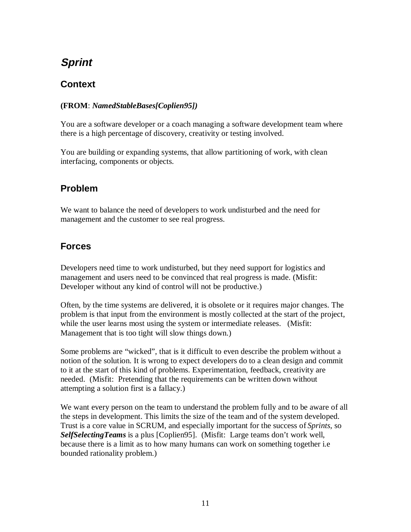# **Sprint**

#### **Context**

#### **(FROM**: *NamedStableBases[Coplien95])*

You are a software developer or a coach managing a software development team where there is a high percentage of discovery, creativity or testing involved.

You are building or expanding systems, that allow partitioning of work, with clean interfacing, components or objects.

## **Problem**

We want to balance the need of developers to work undisturbed and the need for management and the customer to see real progress.

## **Forces**

Developers need time to work undisturbed, but they need support for logistics and management and users need to be convinced that real progress is made. (Misfit: Developer without any kind of control will not be productive.)

Often, by the time systems are delivered, it is obsolete or it requires major changes. The problem is that input from the environment is mostly collected at the start of the project, while the user learns most using the system or intermediate releases. (Misfit: Management that is too tight will slow things down.)

Some problems are "wicked", that is it difficult to even describe the problem without a notion of the solution. It is wrong to expect developers do to a clean design and commit to it at the start of this kind of problems. Experimentation, feedback, creativity are needed. (Misfit: Pretending that the requirements can be written down without attempting a solution first is a fallacy.)

We want every person on the team to understand the problem fully and to be aware of all the steps in development. This limits the size of the team and of the system developed. Trust is a core value in SCRUM, and especially important for the success of *Sprints*, so *SelfSelectingTeams* is a plus [Coplien95]. (Misfit: Large teams don't work well, because there is a limit as to how many humans can work on something together i.e bounded rationality problem.)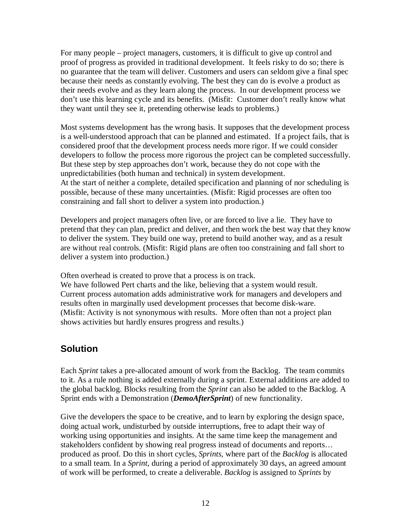For many people – project managers, customers, it is difficult to give up control and proof of progress as provided in traditional development. It feels risky to do so; there is no guarantee that the team will deliver. Customers and users can seldom give a final spec because their needs as constantly evolving. The best they can do is evolve a product as their needs evolve and as they learn along the process. In our development process we don't use this learning cycle and its benefits. (Misfit: Customer don't really know what they want until they see it, pretending otherwise leads to problems.)

Most systems development has the wrong basis. It supposes that the development process is a well-understood approach that can be planned and estimated. If a project fails, that is considered proof that the development process needs more rigor. If we could consider developers to follow the process more rigorous the project can be completed successfully. But these step by step approaches don't work, because they do not cope with the unpredictabilities (both human and technical) in system development. At the start of neither a complete, detailed specification and planning of nor scheduling is possible, because of these many uncertainties. (Misfit: Rigid processes are often too constraining and fall short to deliver a system into production.)

Developers and project managers often live, or are forced to live a lie. They have to pretend that they can plan, predict and deliver, and then work the best way that they know to deliver the system. They build one way, pretend to build another way, and as a result are without real controls. (Misfit: Rigid plans are often too constraining and fall short to deliver a system into production.)

Often overhead is created to prove that a process is on track.

We have followed Pert charts and the like, believing that a system would result. Current process automation adds administrative work for managers and developers and results often in marginally used development processes that become disk-ware. (Misfit: Activity is not synonymous with results. More often than not a project plan shows activities but hardly ensures progress and results.)

## **Solution**

Each *Sprint* takes a pre-allocated amount of work from the Backlog. The team commits to it. As a rule nothing is added externally during a sprint. External additions are added to the global backlog. Blocks resulting from the *Sprint* can also be added to the Backlog. A Sprint ends with a Demonstration (*DemoAfterSprint*) of new functionality.

Give the developers the space to be creative, and to learn by exploring the design space, doing actual work, undisturbed by outside interruptions, free to adapt their way of working using opportunities and insights. At the same time keep the management and stakeholders confident by showing real progress instead of documents and reports… produced as proof. Do this in short cycles, *Sprints*, where part of the *Backlog* is allocated to a small team. In a *Sprint*, during a period of approximately 30 days, an agreed amount of work will be performed, to create a deliverable. *Backlog* is assigned to *Sprints* by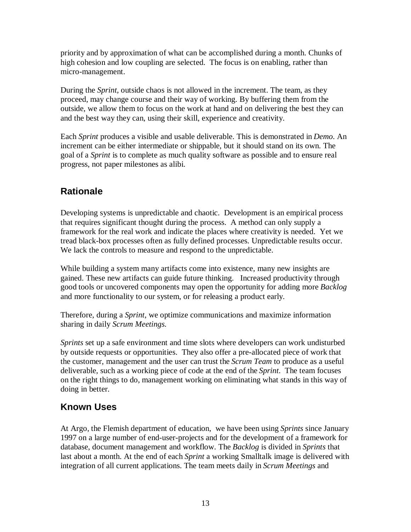priority and by approximation of what can be accomplished during a month. Chunks of high cohesion and low coupling are selected. The focus is on enabling, rather than micro-management.

During the *Sprint,* outside chaos is not allowed in the increment. The team, as they proceed, may change course and their way of working. By buffering them from the outside, we allow them to focus on the work at hand and on delivering the best they can and the best way they can, using their skill, experience and creativity.

Each *Sprint* produces a visible and usable deliverable. This is demonstrated in *Demo*. An increment can be either intermediate or shippable, but it should stand on its own. The goal of a *Sprint* is to complete as much quality software as possible and to ensure real progress, not paper milestones as alibi.

# **Rationale**

Developing systems is unpredictable and chaotic. Development is an empirical process that requires significant thought during the process. A method can only supply a framework for the real work and indicate the places where creativity is needed. Yet we tread black-box processes often as fully defined processes. Unpredictable results occur. We lack the controls to measure and respond to the unpredictable.

While building a system many artifacts come into existence, many new insights are gained. These new artifacts can guide future thinking. Increased productivity through good tools or uncovered components may open the opportunity for adding more *Backlog* and more functionality to our system, or for releasing a product early.

Therefore, during a *Sprint*, we optimize communications and maximize information sharing in daily *Scrum Meetings*.

*Sprints* set up a safe environment and time slots where developers can work undisturbed by outside requests or opportunities. They also offer a pre-allocated piece of work that the customer, management and the user can trust the *Scrum Team* to produce as a useful deliverable, such as a working piece of code at the end of the *Sprint*. The team focuses on the right things to do, management working on eliminating what stands in this way of doing in better.

# **Known Uses**

At Argo, the Flemish department of education, we have been using *Sprints* since January 1997 on a large number of end-user-projects and for the development of a framework for database, document management and workflow. The *Backlog* is divided in *Sprints* that last about a month. At the end of each *Sprint* a working Smalltalk image is delivered with integration of all current applications. The team meets daily in *Scrum Meetings* and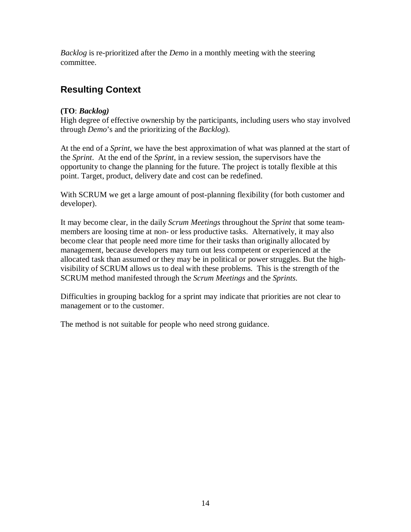*Backlog* is re-prioritized after the *Demo* in a monthly meeting with the steering committee.

## **Resulting Context**

#### **(TO**: *Backlog)*

High degree of effective ownership by the participants, including users who stay involved through *Demo*'s and the prioritizing of the *Backlog*).

At the end of a *Sprint*, we have the best approximation of what was planned at the start of the *Sprint*. At the end of the *Sprint*, in a review session, the supervisors have the opportunity to change the planning for the future. The project is totally flexible at this point. Target, product, delivery date and cost can be redefined.

With SCRUM we get a large amount of post-planning flexibility (for both customer and developer).

It may become clear, in the daily *Scrum Meetings* throughout the *Sprint* that some teammembers are loosing time at non- or less productive tasks. Alternatively, it may also become clear that people need more time for their tasks than originally allocated by management, because developers may turn out less competent or experienced at the allocated task than assumed or they may be in political or power struggles. But the highvisibility of SCRUM allows us to deal with these problems. This is the strength of the SCRUM method manifested through the *Scrum Meetings* and the *Sprints*.

Difficulties in grouping backlog for a sprint may indicate that priorities are not clear to management or to the customer.

The method is not suitable for people who need strong guidance.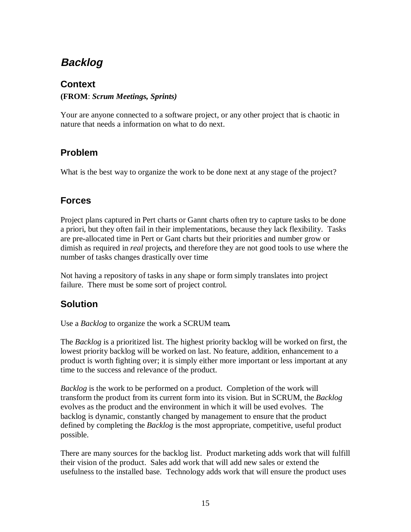# **Backlog**

#### **Context**

#### **(FROM**: *Scrum Meetings, Sprints)*

Your are anyone connected to a software project, or any other project that is chaotic in nature that needs a information on what to do next.

# **Problem**

What is the best way to organize the work to be done next at any stage of the project?

## **Forces**

Project plans captured in Pert charts or Gannt charts often try to capture tasks to be done a priori, but they often fail in their implementations, because they lack flexibility. Tasks are pre-allocated time in Pert or Gant charts but their priorities and number grow or dimish as required in *real* projects*,* and therefore they are not good tools to use where the number of tasks changes drastically over time

Not having a repository of tasks in any shape or form simply translates into project failure. There must be some sort of project control.

## **Solution**

Use a *Backlog* to organize the work a SCRUM team*.*

The *Backlog* is a prioritized list. The highest priority backlog will be worked on first, the lowest priority backlog will be worked on last. No feature, addition, enhancement to a product is worth fighting over; it is simply either more important or less important at any time to the success and relevance of the product.

*Backlog* is the work to be performed on a product. Completion of the work will transform the product from its current form into its vision. But in SCRUM, the *Backlog* evolves as the product and the environment in which it will be used evolves. The backlog is dynamic, constantly changed by management to ensure that the product defined by completing the *Backlog* is the most appropriate, competitive, useful product possible.

There are many sources for the backlog list. Product marketing adds work that will fulfill their vision of the product. Sales add work that will add new sales or extend the usefulness to the installed base. Technology adds work that will ensure the product uses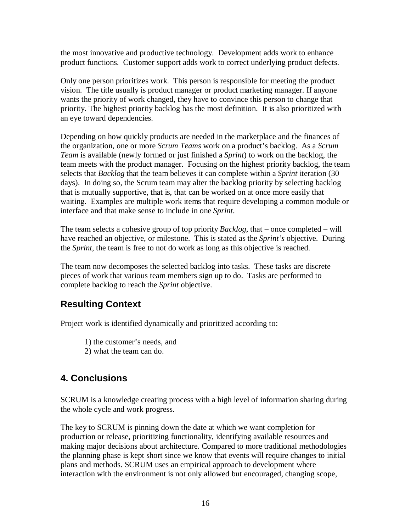the most innovative and productive technology. Development adds work to enhance product functions. Customer support adds work to correct underlying product defects.

Only one person prioritizes work. This person is responsible for meeting the product vision. The title usually is product manager or product marketing manager. If anyone wants the priority of work changed, they have to convince this person to change that priority. The highest priority backlog has the most definition. It is also prioritized with an eye toward dependencies.

Depending on how quickly products are needed in the marketplace and the finances of the organization, one or more *Scrum Teams* work on a product's backlog. As a *Scrum Team* is available (newly formed or just finished a *Sprint*) to work on the backlog, the team meets with the product manager. Focusing on the highest priority backlog, the team selects that *Backlog* that the team believes it can complete within a *Sprint* iteration (30 days). In doing so, the Scrum team may alter the backlog priority by selecting backlog that is mutually supportive, that is, that can be worked on at once more easily that waiting. Examples are multiple work items that require developing a common module or interface and that make sense to include in one *Sprint*.

The team selects a cohesive group of top priority *Backlog*, that – once completed – will have reached an objective, or milestone. This is stated as the *Sprint's* objective. During the *Sprint*, the team is free to not do work as long as this objective is reached.

The team now decomposes the selected backlog into tasks. These tasks are discrete pieces of work that various team members sign up to do. Tasks are performed to complete backlog to reach the *Sprint* objective.

#### **Resulting Context**

Project work is identified dynamically and prioritized according to:

1) the customer's needs, and

2) what the team can do.

## **4. Conclusions**

SCRUM is a knowledge creating process with a high level of information sharing during the whole cycle and work progress.

The key to SCRUM is pinning down the date at which we want completion for production or release, prioritizing functionality, identifying available resources and making major decisions about architecture. Compared to more traditional methodologies the planning phase is kept short since we know that events will require changes to initial plans and methods. SCRUM uses an empirical approach to development where interaction with the environment is not only allowed but encouraged, changing scope,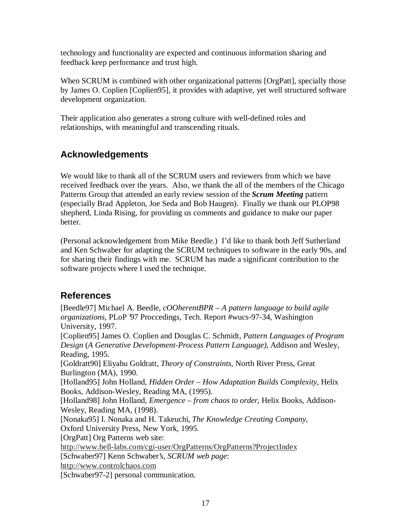technology and functionality are expected and continuous information sharing and feedback keep performance and trust high.

When SCRUM is combined with other organizational patterns [OrgPatt], specially those by James O. Coplien [Coplien95], it provides with adaptive, yet well structured software development organization.

Their application also generates a strong culture with well-defined roles and relationships, with meaningful and transcending rituals.

# **Acknowledgements**

We would like to thank all of the SCRUM users and reviewers from which we have received feedback over the years. Also, we thank the all of the members of the Chicago Patterns Group that attended an early review session of the *Scrum Meeting* pattern (especially Brad Appleton, Joe Seda and Bob Haugen). Finally we thank our PLOP98 shepherd, Linda Rising, for providing us comments and guidance to make our paper better.

(Personal acknowledgement from Mike Beedle.) I'd like to thank both Jeff Sutherland and Ken Schwaber for adapting the SCRUM techniques to software in the early 90s, and for sharing their findings with me. SCRUM has made a significant contribution to the software projects where I used the technique.

#### **References**

[Beedle97] Michael A. Beedle, *cOOherentBPR – A pattern language to build agile organizations*, PLoP '97 Proccedings, Tech. Report #wucs-97-34, Washington University, 1997. [Coplien95] James O. Coplien and Douglas C. Schmidt, *Pattern Languages of Program Design* (*A Generative Development-Process Pattern Language)*, Addison and Wesley, Reading, 1995. [Goldratt90] Eliyahu Goldratt, *Theory of Constraints*, North River Press, Great Burlington (MA), 1990. [Holland95] John Holland, *Hidden Order – How Adaptation Builds Complexity*, Helix Books, Addison-Wesley, Reading MA, (1995). [Holland98] John Holland, *Emergence – from chaos to order*, Helix Books, Addison-Wesley, Reading MA, (1998). [Nonaka95] I. Nonaka and H. Takeuchi, *The Knowledge Creating Company*, Oxford University Press, New York, 1995. [OrgPatt] Org Patterns web site: http://www.bell-labs.com/cgi-user/OrgPatterns/OrgPatterns?ProjectIndex [Schwaber97] Kenn Schwaber's, *SCRUM web page*: http://www.controlchaos.com

[Schwaber97-2] personal communication.